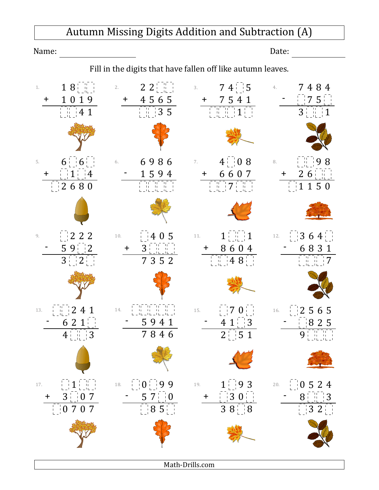## Autumn Missing Digits Addition and Subtraction (A)

Name: Date:

Fill in the digits that have fallen off like autumn leaves.



Math‑Drills.com